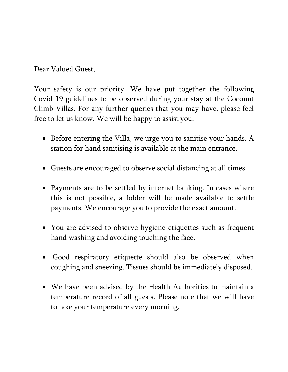Dear Valued Guest,

Your safety is our priority. We have put together the following Covid-19 guidelines to be observed during your stay at the Coconut Climb Villas. For any further queries that you may have, please feel free to let us know. We will be happy to assist you.

- Before entering the Villa, we urge you to sanitise your hands. A station for hand sanitising is available at the main entrance.
- Guests are encouraged to observe social distancing at all times.
- Payments are to be settled by internet banking. In cases where this is not possible, a folder will be made available to settle payments. We encourage you to provide the exact amount.
- You are advised to observe hygiene etiquettes such as frequent hand washing and avoiding touching the face.
- Good respiratory etiquette should also be observed when coughing and sneezing. Tissues should be immediately disposed.
- We have been advised by the Health Authorities to maintain a temperature record of all guests. Please note that we will have to take your temperature every morning.